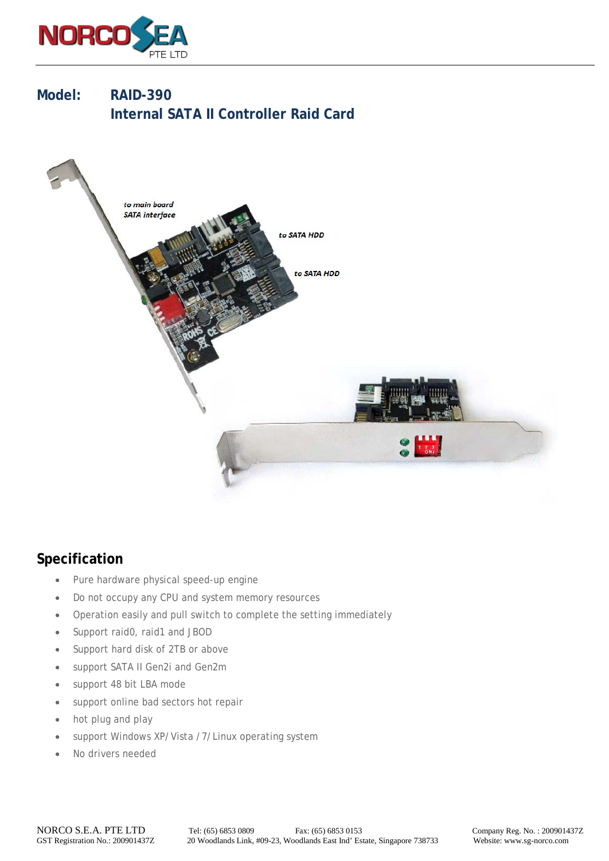

**Model: RAID-390 Internal SATA II Controller Raid Card**



## **Specification**

- Pure hardware physical speed-up engine
- Do not occupy any CPU and system memory resources
- Operation easily and pull switch to complete the setting immediately
- Support raid0, raid1 and JBOD
- Support hard disk of 2TB or above
- support SATA II Gen2i and Gen2m
- support 48 bit LBA mode
- support online bad sectors hot repair
- hot plug and play
- support Windows XP/Vista /7/Linux operating system
- No drivers needed